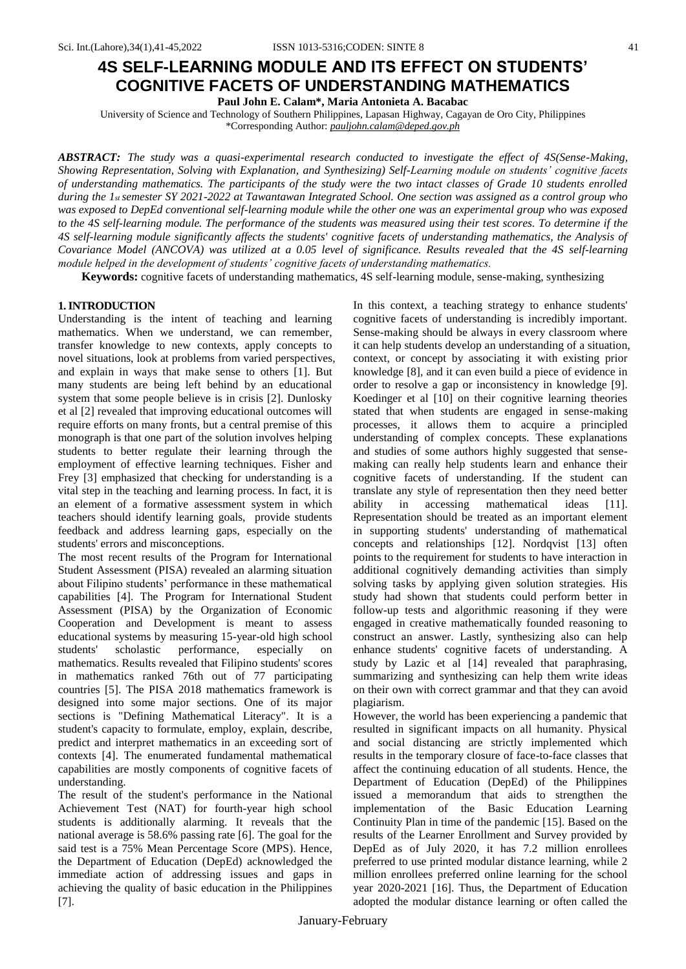# **4S SELF-LEARNING MODULE AND ITS EFFECT ON STUDENTS' COGNITIVE FACETS OF UNDERSTANDING MATHEMATICS**

**Paul John E. Calam\*, Maria Antonieta A. Bacabac**

University of Science and Technology of Southern Philippines, Lapasan Highway, Cagayan de Oro City, Philippines \*Corresponding Author: *pauljohn.calam@deped.gov.ph*

*ABSTRACT: The study was a quasi-experimental research conducted to investigate the effect of 4S(Sense-Making, Showing Representation, Solving with Explanation, and Synthesizing) Self-Learning module on students' cognitive facets of understanding mathematics. The participants of the study were the two intact classes of Grade 10 students enrolled during the 1st semester SY 2021-2022 at Tawantawan Integrated School. One section was assigned as a control group who was exposed to DepEd conventional self-learning module while the other one was an experimental group who was exposed to the 4S self-learning module. The performance of the students was measured using their test scores. To determine if the 4S self-learning module significantly affects the students' cognitive facets of understanding mathematics, the Analysis of Covariance Model (ANCOVA) was utilized at a 0.05 level of significance. Results revealed that the 4S self-learning module helped in the development of students' cognitive facets of understanding mathematics.*

**Keywords:** cognitive facets of understanding mathematics, 4S self-learning module, sense-making, synthesizing

### **1. INTRODUCTION**

Understanding is the intent of teaching and learning mathematics. When we understand, we can remember, transfer knowledge to new contexts, apply concepts to novel situations, look at problems from varied perspectives, and explain in ways that make sense to others [1]. But many students are being left behind by an educational system that some people believe is in crisis [2]. Dunlosky et al [2] revealed that improving educational outcomes will require efforts on many fronts, but a central premise of this monograph is that one part of the solution involves helping students to better regulate their learning through the employment of effective learning techniques. Fisher and Frey [3] emphasized that checking for understanding is a vital step in the teaching and learning process. In fact, it is an element of a formative assessment system in which teachers should identify learning goals, provide students feedback and address learning gaps, especially on the students' errors and misconceptions.

The most recent results of the Program for International Student Assessment (PISA) revealed an alarming situation about Filipino students' performance in these mathematical capabilities [4]. The Program for International Student Assessment (PISA) by the Organization of Economic Cooperation and Development is meant to assess educational systems by measuring 15-year-old high school students' scholastic performance, especially on mathematics. Results revealed that Filipino students' scores in mathematics ranked 76th out of 77 participating countries [5]. The PISA 2018 mathematics framework is designed into some major sections. One of its major sections is "Defining Mathematical Literacy". It is a student's capacity to formulate, employ, explain, describe, predict and interpret mathematics in an exceeding sort of contexts [4]. The enumerated fundamental mathematical capabilities are mostly components of cognitive facets of understanding.

The result of the student's performance in the National Achievement Test (NAT) for fourth-year high school students is additionally alarming. It reveals that the national average is 58.6% passing rate [6]. The goal for the said test is a 75% Mean Percentage Score (MPS). Hence, the Department of Education (DepEd) acknowledged the immediate action of addressing issues and gaps in achieving the quality of basic education in the Philippines [7].

In this context, a teaching strategy to enhance students' cognitive facets of understanding is incredibly important. Sense-making should be always in every classroom where it can help students develop an understanding of a situation, context, or concept by associating it with existing prior knowledge [8], and it can even build a piece of evidence in order to resolve a gap or inconsistency in knowledge [9]. Koedinger et al [10] on their cognitive learning theories stated that when students are engaged in sense-making processes, it allows them to acquire a principled understanding of complex concepts. These explanations and studies of some authors highly suggested that sensemaking can really help students learn and enhance their cognitive facets of understanding. If the student can translate any style of representation then they need better ability in accessing mathematical ideas [11]. Representation should be treated as an important element in supporting students' understanding of mathematical concepts and relationships [12]. Nordqvist [13] often points to the requirement for students to have interaction in additional cognitively demanding activities than simply solving tasks by applying given solution strategies. His study had shown that students could perform better in follow-up tests and algorithmic reasoning if they were engaged in creative mathematically founded reasoning to construct an answer. Lastly, synthesizing also can help enhance students' cognitive facets of understanding. A study by Lazic et al [14] revealed that paraphrasing, summarizing and synthesizing can help them write ideas on their own with correct grammar and that they can avoid plagiarism.

However, the world has been experiencing a pandemic that resulted in significant impacts on all humanity. Physical and social distancing are strictly implemented which results in the temporary closure of face-to-face classes that affect the continuing education of all students. Hence, the Department of Education (DepEd) of the Philippines issued a memorandum that aids to strengthen the implementation of the Basic Education Learning Continuity Plan in time of the pandemic [15]. Based on the results of the Learner Enrollment and Survey provided by DepEd as of July 2020, it has 7.2 million enrollees preferred to use printed modular distance learning, while 2 million enrollees preferred online learning for the school year 2020-2021 [16]. Thus, the Department of Education adopted the modular distance learning or often called the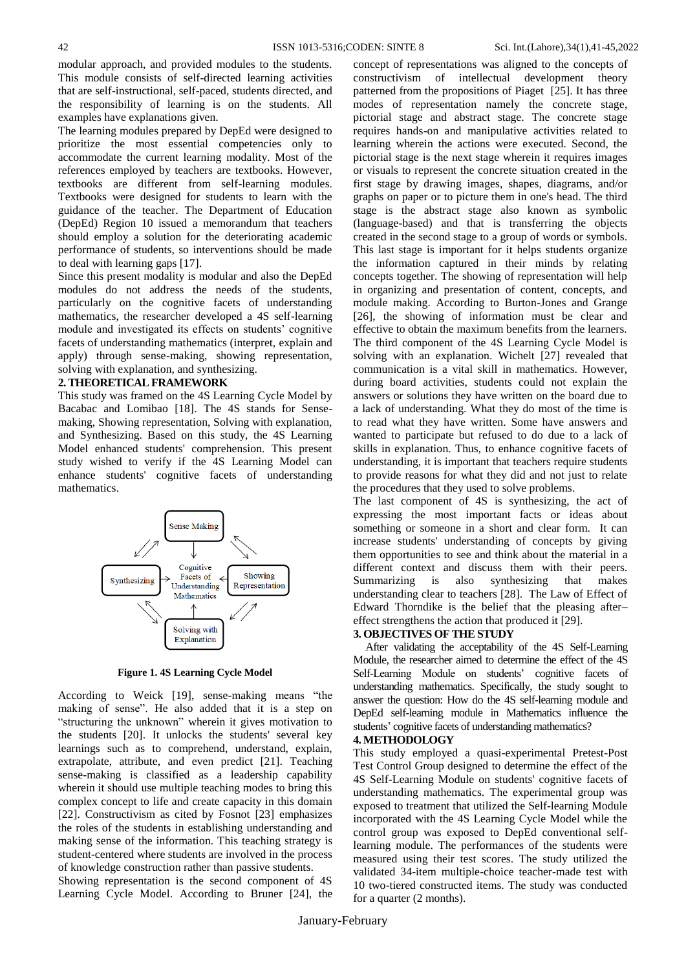modular approach, and provided modules to the students. This module consists of self-directed learning activities that are self-instructional, self-paced, students directed, and the responsibility of learning is on the students. All examples have explanations given.

The learning modules prepared by DepEd were designed to prioritize the most essential competencies only to accommodate the current learning modality. Most of the references employed by teachers are textbooks. However, textbooks are different from self-learning modules. Textbooks were designed for students to learn with the guidance of the teacher. The Department of Education (DepEd) Region 10 issued a memorandum that teachers should employ a solution for the deteriorating academic performance of students, so interventions should be made to deal with learning gaps [17].

Since this present modality is modular and also the DepEd modules do not address the needs of the students, particularly on the cognitive facets of understanding mathematics, the researcher developed a 4S self-learning module and investigated its effects on students' cognitive facets of understanding mathematics (interpret, explain and apply) through sense-making, showing representation, solving with explanation, and synthesizing.

#### **2. THEORETICAL FRAMEWORK**

This study was framed on the 4S Learning Cycle Model by Bacabac and Lomibao [18]. The 4S stands for Sensemaking, Showing representation, Solving with explanation, and Synthesizing. Based on this study, the 4S Learning Model enhanced students' comprehension. This present study wished to verify if the 4S Learning Model can enhance students' cognitive facets of understanding mathematics.



**Figure 1. 4S Learning Cycle Model**

According to Weick [19], sense-making means "the making of sense". He also added that it is a step on "structuring the unknown" wherein it gives motivation to the students [20]. It unlocks the students' several key learnings such as to comprehend, understand, explain, extrapolate, attribute, and even predict [21]. Teaching sense-making is classified as a leadership capability wherein it should use multiple teaching modes to bring this complex concept to life and create capacity in this domain [22]. Constructivism as cited by Fosnot [23] emphasizes the roles of the students in establishing understanding and making sense of the information. This teaching strategy is student-centered where students are involved in the process of knowledge construction rather than passive students.

Showing representation is the second component of 4S Learning Cycle Model. According to Bruner [24], the

concept of representations was aligned to the concepts of constructivism of intellectual development theory patterned from the propositions of Piaget [25]. It has three modes of representation namely the concrete stage, pictorial stage and abstract stage. The concrete stage requires hands-on and manipulative activities related to learning wherein the actions were executed. Second, the pictorial stage is the next stage wherein it requires images or visuals to represent the concrete situation created in the first stage by drawing images, shapes, diagrams, and/or graphs on paper or to picture them in one's head. The third stage is the abstract stage also known as symbolic (language-based) and that is transferring the objects created in the second stage to a group of words or symbols. This last stage is important for it helps students organize the information captured in their minds by relating concepts together. The showing of representation will help in organizing and presentation of content, concepts, and module making. According to Burton-Jones and Grange [26], the showing of information must be clear and effective to obtain the maximum benefits from the learners. The third component of the 4S Learning Cycle Model is solving with an explanation. Wichelt [27] revealed that communication is a vital skill in mathematics. However, during board activities, students could not explain the answers or solutions they have written on the board due to a lack of understanding. What they do most of the time is to read what they have written. Some have answers and wanted to participate but refused to do due to a lack of skills in explanation. Thus, to enhance cognitive facets of understanding, it is important that teachers require students to provide reasons for what they did and not just to relate the procedures that they used to solve problems.

The last component of 4S is synthesizing, the act of expressing the most important facts or ideas about something or someone in a short and clear form. It can increase students' understanding of concepts by giving them opportunities to see and think about the material in a different context and discuss them with their peers. Summarizing is also synthesizing that makes understanding clear to teachers [28]. The Law of Effect of Edward Thorndike is the belief that the pleasing after– effect strengthens the action that produced it [29].

#### **3. OBJECTIVES OF THE STUDY**

 After validating the acceptability of the 4S Self-Learning Module, the researcher aimed to determine the effect of the 4S Self-Learning Module on students' cognitive facets of understanding mathematics. Specifically, the study sought to answer the question: How do the 4S self-learning module and DepEd self-learning module in Mathematics influence the students' cognitive facets of understanding mathematics?

### **4. METHODOLOGY**

This study employed a quasi-experimental Pretest-Post Test Control Group designed to determine the effect of the 4S Self-Learning Module on students' cognitive facets of understanding mathematics. The experimental group was exposed to treatment that utilized the Self-learning Module incorporated with the 4S Learning Cycle Model while the control group was exposed to DepEd conventional selflearning module. The performances of the students were measured using their test scores. The study utilized the validated 34-item multiple-choice teacher-made test with 10 two-tiered constructed items. The study was conducted for a quarter (2 months).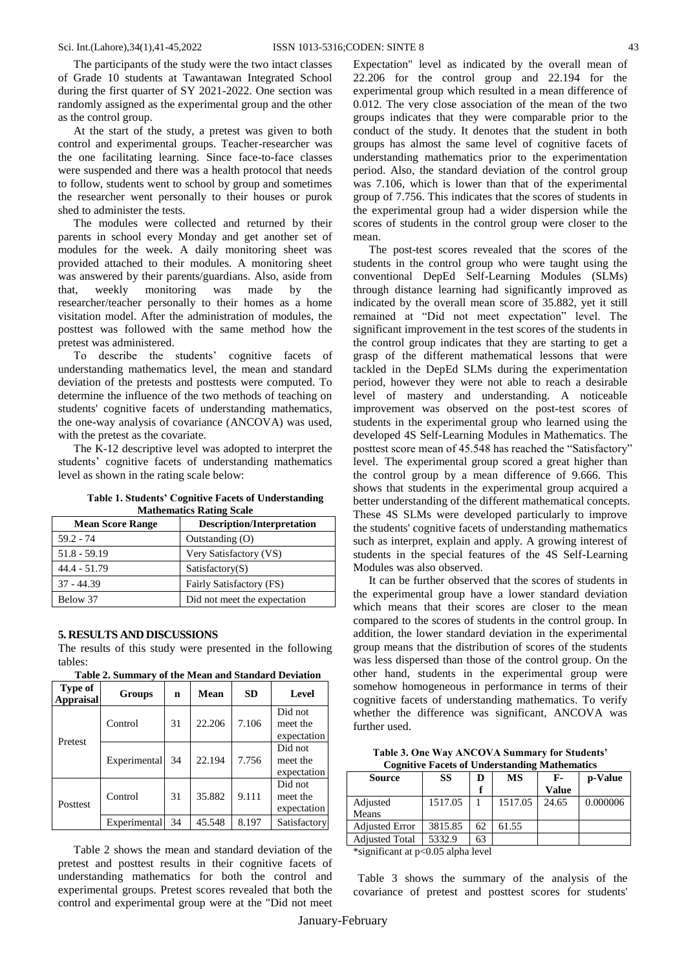The participants of the study were the two intact classes of Grade 10 students at Tawantawan Integrated School during the first quarter of SY 2021-2022. One section was randomly assigned as the experimental group and the other as the control group.

At the start of the study, a pretest was given to both control and experimental groups. Teacher-researcher was the one facilitating learning. Since face-to-face classes were suspended and there was a health protocol that needs to follow, students went to school by group and sometimes the researcher went personally to their houses or purok shed to administer the tests.

The modules were collected and returned by their parents in school every Monday and get another set of modules for the week. A daily monitoring sheet was provided attached to their modules. A monitoring sheet was answered by their parents/guardians. Also, aside from that, weekly monitoring was made by the researcher/teacher personally to their homes as a home visitation model. After the administration of modules, the posttest was followed with the same method how the pretest was administered.

To describe the students' cognitive facets of understanding mathematics level, the mean and standard deviation of the pretests and posttests were computed. To determine the influence of the two methods of teaching on students' cognitive facets of understanding mathematics, the one-way analysis of covariance (ANCOVA) was used, with the pretest as the covariate.

The K-12 descriptive level was adopted to interpret the students' cognitive facets of understanding mathematics level as shown in the rating scale below:

|  | <b>Table 1. Students' Cognitive Facets of Understanding</b> |  |
|--|-------------------------------------------------------------|--|
|  | <b>Mathematics Rating Scale</b>                             |  |

| <b>Mean Score Range</b> | <b>Description/Interpretation</b> |
|-------------------------|-----------------------------------|
| $59.2 - 74$             | Outstanding (O)                   |
| $51.8 - 59.19$          | Very Satisfactory (VS)            |
| $44.4 - 51.79$          | Satisfactory(S)                   |
| $37 - 44.39$            | Fairly Satisfactory (FS)          |
| Below 37                | Did not meet the expectation      |

#### **5. RESULTS AND DISCUSSIONS**

The results of this study were presented in the following tables:

**Table 2. Summary of the Mean and Standard Deviation**

| Type of<br><b>Appraisal</b> | Groups  | n  | Mean   | <b>SD</b> | Level                              |
|-----------------------------|---------|----|--------|-----------|------------------------------------|
| Pretest                     | Control | 31 | 22.206 | 7.106     | Did not<br>meet the<br>expectation |
|                             |         |    |        |           |                                    |

|          | Control      | 31  | 22.206 | 7.106 | meet the    |
|----------|--------------|-----|--------|-------|-------------|
| Pretest  |              |     |        |       | expectation |
|          | Experimental | -34 | 22.194 | 7.756 | Did not     |
|          |              |     |        |       | meet the    |
|          |              |     |        |       | expectation |
| Posttest | Control      | 31  | 35.882 | 9.111 | Did not     |
|          |              |     |        |       | meet the    |
|          |              |     |        |       | expectation |

Table 2 shows the mean and standard deviation of the pretest and posttest results in their cognitive facets of understanding mathematics for both the control and experimental groups. Pretest scores revealed that both the control and experimental group were at the "Did not meet

Experimental  $34 \mid 45.548 \mid 8.197 \mid$  Satisfactory

Expectation" level as indicated by the overall mean of 22.206 for the control group and 22.194 for the experimental group which resulted in a mean difference of 0.012. The very close association of the mean of the two groups indicates that they were comparable prior to the conduct of the study. It denotes that the student in both groups has almost the same level of cognitive facets of understanding mathematics prior to the experimentation period. Also, the standard deviation of the control group was 7.106, which is lower than that of the experimental group of 7.756. This indicates that the scores of students in the experimental group had a wider dispersion while the scores of students in the control group were closer to the mean.

The post-test scores revealed that the scores of the students in the control group who were taught using the conventional DepEd Self-Learning Modules (SLMs) through distance learning had significantly improved as indicated by the overall mean score of 35.882, yet it still remained at "Did not meet expectation" level. The significant improvement in the test scores of the students in the control group indicates that they are starting to get a grasp of the different mathematical lessons that were tackled in the DepEd SLMs during the experimentation period, however they were not able to reach a desirable level of mastery and understanding. A noticeable improvement was observed on the post-test scores of students in the experimental group who learned using the developed 4S Self-Learning Modules in Mathematics. The posttest score mean of 45.548 has reached the "Satisfactory" level. The experimental group scored a great higher than the control group by a mean difference of 9.666. This shows that students in the experimental group acquired a better understanding of the different mathematical concepts. These 4S SLMs were developed particularly to improve the students' cognitive facets of understanding mathematics such as interpret, explain and apply. A growing interest of students in the special features of the 4S Self-Learning Modules was also observed.

It can be further observed that the scores of students in the experimental group have a lower standard deviation which means that their scores are closer to the mean compared to the scores of students in the control group. In addition, the lower standard deviation in the experimental group means that the distribution of scores of the students was less dispersed than those of the control group. On the other hand, students in the experimental group were somehow homogeneous in performance in terms of their cognitive facets of understanding mathematics. To verify whether the difference was significant, ANCOVA was further used.

**Table 3. One Way ANCOVA Summary for Students' Cognitive Facets of Understanding Mathematics**

| <b>Source</b>         | SS      | D  | <b>MS</b> | F-    | p-Value  |
|-----------------------|---------|----|-----------|-------|----------|
|                       |         |    |           | Value |          |
| Adjusted<br>Means     | 1517.05 |    | 1517.05   | 24.65 | 0.000006 |
|                       |         |    |           |       |          |
| <b>Adjusted Error</b> | 3815.85 | 62 | 61.55     |       |          |
| <b>Adiusted Total</b> | 5332.9  | 63 |           |       |          |

\*significant at p<0.05 alpha level

 Table 3 shows the summary of the analysis of the covariance of pretest and posttest scores for students'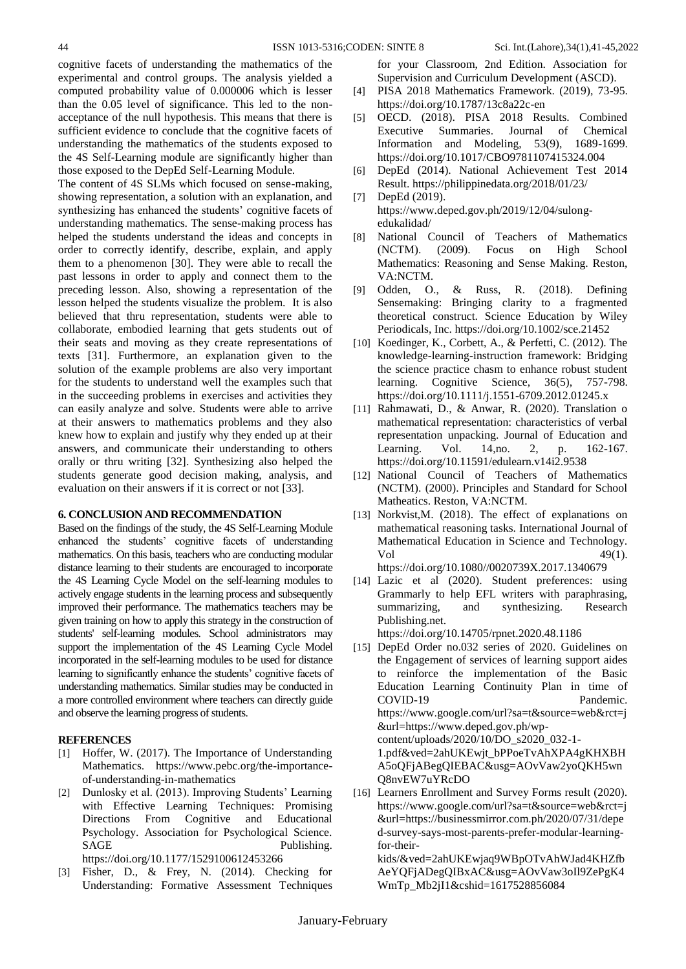cognitive facets of understanding the mathematics of the experimental and control groups. The analysis yielded a computed probability value of 0.000006 which is lesser than the 0.05 level of significance. This led to the nonacceptance of the null hypothesis. This means that there is sufficient evidence to conclude that the cognitive facets of understanding the mathematics of the students exposed to the 4S Self-Learning module are significantly higher than those exposed to the DepEd Self-Learning Module.

The content of 4S SLMs which focused on sense-making, showing representation, a solution with an explanation, and synthesizing has enhanced the students' cognitive facets of understanding mathematics. The sense-making process has helped the students understand the ideas and concepts in order to correctly identify, describe, explain, and apply them to a phenomenon [30]. They were able to recall the past lessons in order to apply and connect them to the preceding lesson. Also, showing a representation of the lesson helped the students visualize the problem. It is also believed that thru representation, students were able to collaborate, embodied learning that gets students out of their seats and moving as they create representations of texts [31]. Furthermore, an explanation given to the solution of the example problems are also very important for the students to understand well the examples such that in the succeeding problems in exercises and activities they can easily analyze and solve. Students were able to arrive at their answers to mathematics problems and they also knew how to explain and justify why they ended up at their answers, and communicate their understanding to others orally or thru writing [32]. Synthesizing also helped the students generate good decision making, analysis, and evaluation on their answers if it is correct or not [33].

## **6. CONCLUSION AND RECOMMENDATION**

Based on the findings of the study, the 4S Self-Learning Module enhanced the students' cognitive facets of understanding mathematics. On this basis, teachers who are conducting modular distance learning to their students are encouraged to incorporate the 4S Learning Cycle Model on the self-learning modules to actively engage students in the learning process and subsequently improved their performance. The mathematics teachers may be given training on how to apply this strategy in the construction of students' self-learning modules. School administrators may support the implementation of the 4S Learning Cycle Model incorporated in the self-learning modules to be used for distance learning to significantly enhance the students' cognitive facets of understanding mathematics. Similar studies may be conducted in a more controlled environment where teachers can directly guide and observe the learning progress of students.

#### **REFERENCES**

- [1] Hoffer, W. (2017). The Importance of Understanding Mathematics. https://www.pebc.org/the-importanceof-understanding-in-mathematics
- [2] Dunlosky et al. (2013). Improving Students' Learning with Effective Learning Techniques: Promising Directions From Cognitive and Educational Psychology. Association for Psychological Science. SAGE Publishing. https://doi.org/10.1177/1529100612453266
- [3] Fisher, D., & Frey, N. (2014). Checking for Understanding: Formative Assessment Techniques

for your Classroom, 2nd Edition. Association for Supervision and Curriculum Development (ASCD).

- [4] PISA 2018 Mathematics Framework. (2019), 73-95. https://doi.org/10.1787/13c8a22c-en
- [5] OECD. (2018). PISA 2018 Results. Combined Executive Summaries. Journal of Chemical Information and Modeling, 53(9), 1689-1699. https://doi.org/10.1017/CBO9781107415324.004
- [6] DepEd (2014). National Achievement Test 2014 Result. https://philippinedata.org/2018/01/23/
- [7] DepEd (2019). https://www.deped.gov.ph/2019/12/04/sulongedukalidad/
- [8] National Council of Teachers of Mathematics (NCTM). (2009). Focus on High School Mathematics: Reasoning and Sense Making. Reston, VA:NCTM.
- [9] Odden, O., & Russ, R. (2018). Defining Sensemaking: Bringing clarity to a fragmented theoretical construct. Science Education by Wiley Periodicals, Inc. https://doi.org/10.1002/sce.21452
- [10] Koedinger, K., Corbett, A., & Perfetti, C. (2012). The knowledge-learning-instruction framework: Bridging the science practice chasm to enhance robust student learning. Cognitive Science, 36(5), 757-798. https://doi.org/10.1111/j.1551-6709.2012.01245.x
- [11] Rahmawati, D., & Anwar, R. (2020). Translation o mathematical representation: characteristics of verbal representation unpacking. Journal of Education and Learning. Vol. 14, no. 2, p. 162-167. https://doi.org/10.11591/edulearn.v14i2.9538
- [12] National Council of Teachers of Mathematics (NCTM). (2000). Principles and Standard for School Matheatics. Reston, VA:NCTM.
- [13] Norkvist, M. (2018). The effect of explanations on mathematical reasoning tasks. International Journal of Mathematical Education in Science and Technology.  $Vol$  49(1). https://doi.org/10.1080//0020739X.2017.1340679
- [14] Lazic et al (2020). Student preferences: using Grammarly to help EFL writers with paraphrasing, summarizing, and synthesizing. Research Publishing.net.

https://doi.org/10.14705/rpnet.2020.48.1186

- [15] DepEd Order no.032 series of 2020. Guidelines on the Engagement of services of learning support aides to reinforce the implementation of the Basic Education Learning Continuity Plan in time of COVID-19 Pandemic. https://www.google.com/url?sa=t&source=web&rct=j &url=https://www.deped.gov.ph/wpcontent/uploads/2020/10/DO\_s2020\_032-1- 1.pdf&ved=2ahUKEwjt\_bPPoeTvAhXPA4gKHXBH A5oQFjABegQIEBAC&usg=AOvVaw2yoQKH5wn Q8nvEW7uYRcDO
- [16] Learners Enrollment and Survey Forms result (2020). https://www.google.com/url?sa=t&source=web&rct=j &url=https://businessmirror.com.ph/2020/07/31/depe d-survey-says-most-parents-prefer-modular-learningfor-their-

kids/&ved=2ahUKEwjaq9WBpOTvAhWJad4KHZfb AeYQFjADegQIBxAC&usg=AOvVaw3oIl9ZePgK4 WmTp\_Mb2jI1&cshid=1617528856084